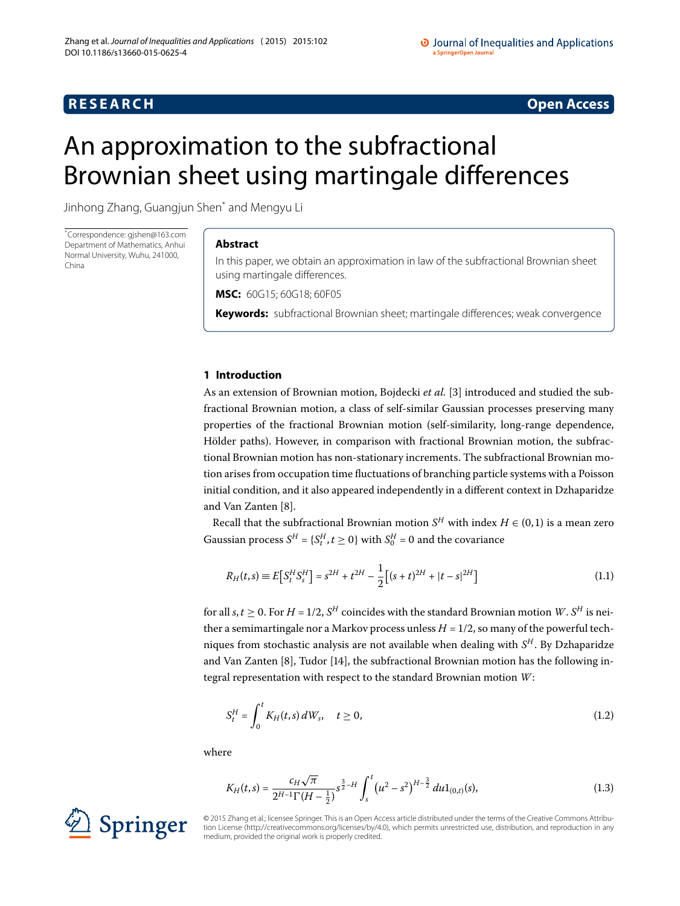# **R E S E A R C H Open Access**

# <span id="page-0-0"></span>An approximation to the subfractional Brownian sheet using martingale differences

Jinhong Zhang, Guangjun Shen[\\*](#page-0-0) and Mengyu Li

\* Correspondence: [gjshen@163.com](mailto:gjshen@163.com) Department of Mathematics, Anhui Normal University, Wuhu, 241000, China

# **Abstract**

In this paper, we obtain an approximation in law of the subfractional Brownian sheet using martingale differences.

**MSC:** 60G15; 60G18; 60F05

**Keywords:** subfractional Brownian sheet; martingale differences; weak convergence

# **1 Introduction**

As an extension of Brownian motion, Bojdecki *et al.* [3[\]](#page-8-0) introduced and studied the subfractional Brownian motion, a class of self-similar Gaussian processes preserving many properties of the fractional Brownian motion (self-similarity, long-range dependence, Hölder paths). However, in comparison with fractional Brownian motion, the subfractional Brownian motion has non-stationary increments. The subfractional Brownian motion arises from occupation time fluctuations of branching particle systems with a Poisson initial condition, and it also appeared independently in a different context in Dzhaparidze and Van Zanten [8[\]](#page-8-1).

Recall that the subfractional Brownian motion  $S^H$  with index  $H \in (0,1)$  is a mean zero Gaussian process  $S^H = \{S_t^H, t \ge 0\}$  with  $S_0^H = 0$  and the covariance

$$
R_H(t,s) \equiv E\big[S_t^H S_s^H\big] = s^{2H} + t^{2H} - \frac{1}{2}\big[(s+t)^{2H} + |t-s|^{2H}\big] \tag{1.1}
$$

for all *s*, *t* > 0. For *H* = 1/2, *S<sup>H</sup>* coincides with the standard Brownian motion *W*. *S<sup>H</sup>* is neither a semimartingale nor a Markov process unless  $H = 1/2$ , so many of the powerful techniques from stochastic analysis are not available when dealing with *S<sup>H</sup>* . By Dzhaparidze and Van Zanten  $[8]$  $[8]$ , Tudor  $[14]$ , the subfractional Brownian motion has the following integral representation with respect to the standard Brownian motion *W*:

<span id="page-0-1"></span>
$$
S_t^H = \int_0^t K_H(t,s) \, dW_s, \quad t \ge 0,\tag{1.2}
$$

where

$$
K_H(t,s) = \frac{c_H \sqrt{\pi}}{2^{H-1} \Gamma(H-\frac{1}{2})} s^{\frac{3}{2}-H} \int_s^t \left(u^2 - s^2\right)^{H-\frac{3}{2}} du 1_{(0,t)}(s), \tag{1.3}
$$



© 2015 Zhang et al.; licensee Springer. This is an Open Access article distributed under the terms of the Creative Commons Attribution License (http://creativecommons.org/licenses/by/4.0), which permits unrestricted use, distribution, and reproduction in any medium, provided the original work is properly credited.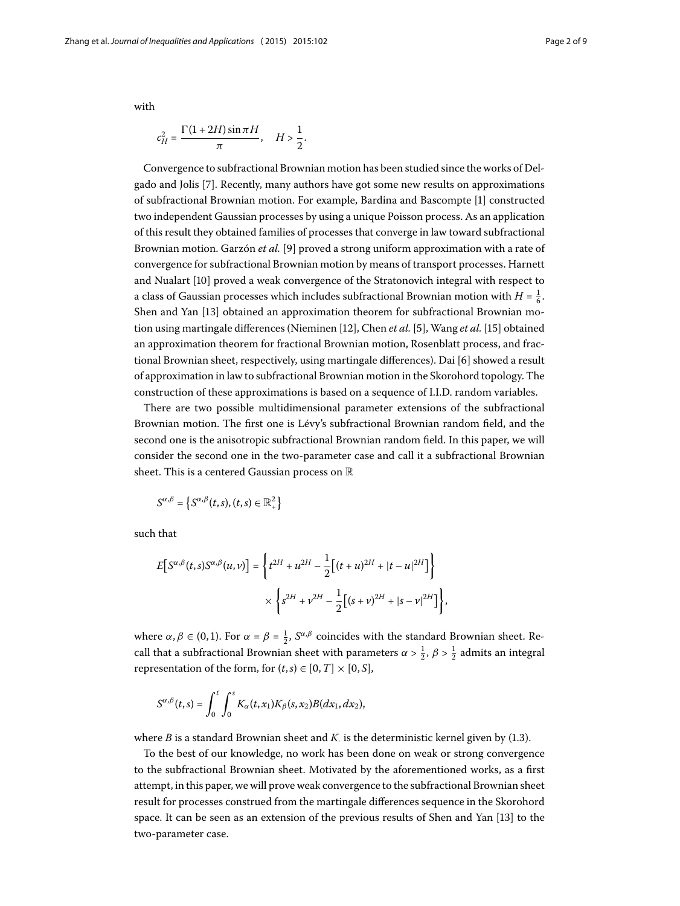with

$$
c_H^2 = \frac{\Gamma(1+2H)\sin \pi H}{\pi}, \quad H > \frac{1}{2}.
$$

Convergence to subfractional Brownian motion has been studied since the works of Del-gado and Jolis [\[](#page-8-3)7]. Recently, many authors have got some new results on approximations of subfractional Brownian motion. For example, Bardina and Bascompte [[\]](#page-8-4) constructed two independent Gaussian processes by using a unique Poisson process. As an application of this result they obtained families of processes that converge in law toward subfractional Brownian motion. Garzón *et al.* [\[](#page-8-5)9] proved a strong uniform approximation with a rate of convergence for subfractional Brownian motion by means of transport processes. Harnett and Nualart [\[](#page-8-6)10] proved a weak convergence of the Stratonovich integral with respect to a class of Gaussian processes which includes subfractional Brownian motion with  $H = \frac{1}{6}$ . Shen and Yan [\[](#page-8-7)13] obtained an approximation theorem for subfractional Brownian mo-tion using martingale differences (Nieminen [\[](#page-8-10)12], Chen *et al.* [5], Wang *et al.* [15] obtained an approximation theorem for fractional Brownian motion, Rosenblatt process, and fractional Brownian sheet, respectively, using martingale differences). Dai [6] showed a result of approximation in law to subfractional Brownian motion in the Skorohord topology. The construction of these approximations is based on a sequence of I.I.D. random variables.

There are two possible multidimensional parameter extensions of the subfractional Brownian motion. The first one is Lévy's subfractional Brownian random field, and the second one is the anisotropic subfractional Brownian random field. In this paper, we will consider the second one in the two-parameter case and call it a subfractional Brownian sheet. This is a centered Gaussian process on R

 $S^{\alpha,\beta} = \left\{ S^{\alpha,\beta}(t,s), (t,s) \in \mathbb{R}^2_+\right\}$ 

such that

$$
E[S^{\alpha,\beta}(t,s)S^{\alpha,\beta}(u,v)] = \left\{ t^{2H} + u^{2H} - \frac{1}{2} \left[ (t+u)^{2H} + |t-u|^{2H} \right] \right\}
$$

$$
\times \left\{ s^{2H} + v^{2H} - \frac{1}{2} \left[ (s+v)^{2H} + |s-v|^{2H} \right] \right\},\
$$

where  $\alpha, \beta \in (0,1)$ . For  $\alpha = \beta = \frac{1}{2}$ ,  $S^{\alpha,\beta}$  coincides with the standard Brownian sheet. Recall that a subfractional Brownian sheet with parameters  $\alpha > \frac{1}{2}$ ,  $\beta > \frac{1}{2}$  admits an integral representation of the form, for  $(t, s) \in [0, T] \times [0, S]$ ,

$$
S^{\alpha,\beta}(t,s)=\int_0^t\int_0^s K_\alpha(t,x_1)K_\beta(s,x_2)B(dx_1,dx_2),
$$

where  $B$  is a standard Brownian sheet and  $K$  is the deterministic kernel given by  $(1.3)$ .

To the best of our knowledge, no work has been done on weak or strong convergence to the subfractional Brownian sheet. Motivated by the aforementioned works, as a first attempt, in this paper, we will prove weak convergence to the subfractional Brownian sheet result for processes construed from the martingale differences sequence in the Skorohord space. It can be seen as an extension of the previous results of Shen and Yan [] to the two-parameter case.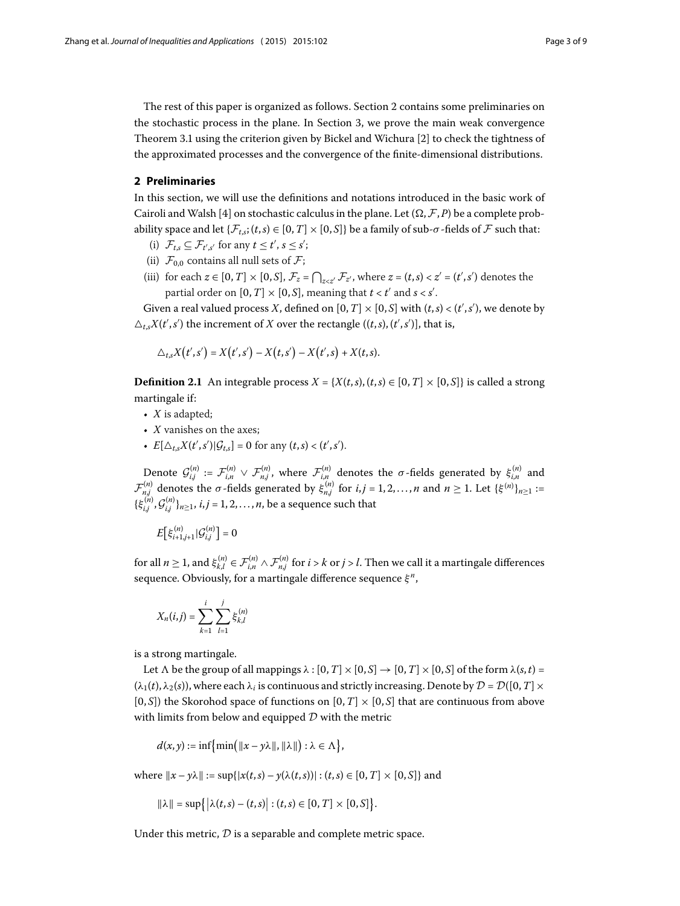<span id="page-2-0"></span>The rest of this paper is organized as follows. Section 2 contains some preliminaries on the stochastic process in the plane. In Section 3[,](#page-3-0) we prove the main weak convergence Theorem 3[.](#page-3-1)1 using the criterion given by Bickel and Wichura  $[2]$  $[2]$  to check the tightness of the approximated processes and the convergence of the finite-dimensional distributions.

# **2 Preliminaries**

In this section, we will use the definitions and notations introduced in the basic work of Cairoli and Walsh [4[\]](#page-8-13) on stochastic calculus in the plane. Let  $(\Omega, \mathcal{F}, P)$  be a complete probability space and let  $\{\mathcal{F}_{t,s}$ ;  $(t,s) \in [0,T] \times [0,S]$  be a family of sub- $\sigma$ -fields of  $\mathcal F$  such that:

- (i)  $\mathcal{F}_{t,s} \subseteq \mathcal{F}_{t',s'}$  for any  $t \leq t', s \leq s'$ ;
- (ii)  $\mathcal{F}_{0,0}$  contains all null sets of  $\mathcal{F}_{i}$ ;
- (iii) for each  $z \in [0, T] \times [0, S]$ ,  $\mathcal{F}_z = \bigcap_{z < z'} \mathcal{F}_{z'}$ , where  $z = (t, s) < z' = (t', s')$  denotes the partial order on  $[0, T] \times [0, S]$ , meaning that  $t < t'$  and  $s < s'$ .

Given a real valued process *X*, defined on  $[0, T] \times [0, S]$  with  $(t, s) < (t', s')$ , we denote by  $\Delta_{t,s}X(t',s')$  the increment of *X* over the rectangle  $((t,s),(t',s')]$ , that is,

$$
\triangle_{t,s} X(t',s') = X(t',s') - X(t,s') - X(t',s) + X(t,s).
$$

**Definition 2.1** An integrable process  $X = \{X(t, s), (t, s) \in [0, T] \times [0, S] \}$  is called a strong martingale if:

- *X* is adapted;
- *X* vanishes on the axes;
- $E[\Delta_{t,s}X(t',s')|\mathcal{G}_{t,s}] = 0$  for any  $(t,s) < (t',s').$

Denote  $\mathcal{G}_{i,j}^{(n)} := \mathcal{F}_{i,n}^{(n)} \vee \mathcal{F}_{n,j}^{(n)}$ , where  $\mathcal{F}_{i,n}^{(n)}$  denotes the *σ*-fields generated by  $\xi_{i,n}^{(n)}$  and  $\mathcal{F}_{n,j}^{(n)}$  denotes the *σ*-fields generated by  $\xi_{n,j}^{(n)}$  for *i*,*j* = 1, 2, …, *n* and *n* ≥ 1. Let { $\xi^{(n)}$ }<sub>*n*≥1</sub> :=  $\{\xi_{i,j}^{(n)}, \mathcal{G}_{i,j}^{(n)}\}_{n\geq 1}$ , *i*, *j* = 1, 2, ..., *n*, be a sequence such that

$$
E\big[\xi_{i+1,j+1}^{(n)}\big|\mathcal{G}_{i,j}^{(n)}\big]=0
$$

for all  $n\geq 1$ , and  $\xi_{k,l}^{(n)}\in\mathcal{F}_{i,n}^{(n)}\wedge\mathcal{F}_{n,j}^{(n)}$  for  $i>k$  or  $j>l.$  Then we call it a martingale differences sequence. Obviously, for a martingale difference sequence *ξ <sup>n</sup>*,

$$
X_n(i,j) = \sum_{k=1}^i \sum_{l=1}^j \xi_{k,l}^{(n)}
$$

is a strong martingale.

Let  $\Lambda$  be the group of all mappings  $\lambda : [0, T] \times [0, S] \to [0, T] \times [0, S]$  of the form  $\lambda(s, t) =$  $(\lambda_1(t), \lambda_2(s))$ , where each  $\lambda_i$  is continuous and strictly increasing. Denote by  $\mathcal{D} = \mathcal{D}([0, T] \times$  $[0, S]$ ) the Skorohod space of functions on  $[0, T] \times [0, S]$  that are continuous from above with limits from below and equipped  $D$  with the metric

$$
d(x,y) := \inf \{ \min(\|x - y\lambda\|, \|\lambda\|) : \lambda \in \Lambda \},\
$$

where  $||x - y\lambda|| := \sup\{|x(t, s) - y(\lambda(t, s))| : (t, s) \in [0, T] \times [0, S]\}$  and

$$
\|\lambda\| = \sup\{|\lambda(t,s) - (t,s)| : (t,s) \in [0,T] \times [0,S]\}.
$$

Under this metric,  $D$  is a separable and complete metric space.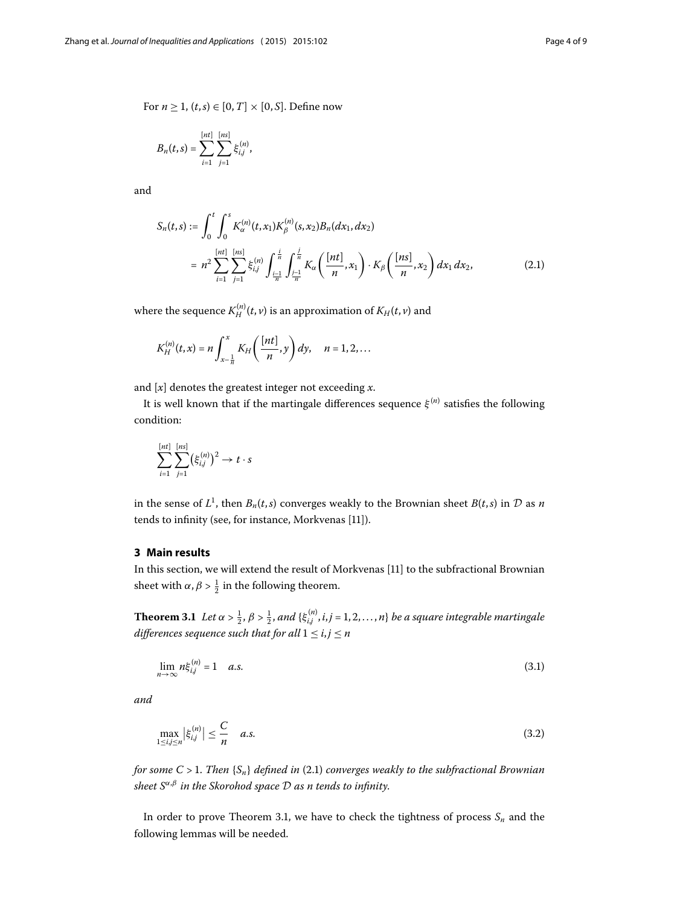<span id="page-3-2"></span>For *n*  $\geq$  1, (*t*, *s*)  $\in$  [0, *T*]  $\times$  [0, *S*]. Define now

$$
B_n(t,s) = \sum_{i=1}^{[nt]} \sum_{j=1}^{[ns]} \xi_{i,j}^{(n)},
$$

and

$$
S_n(t,s) := \int_0^t \int_0^s K_\alpha^{(n)}(t,x_1) K_\beta^{(n)}(s,x_2) B_n(dx_1, dx_2)
$$
  
=  $n^2 \sum_{i=1}^{\lfloor nt \rfloor} \sum_{j=1}^{\lfloor ns \rfloor} \xi_{i,j}^{(n)} \int_{\frac{i-1}{n}}^{\frac{i}{n}} \int_{\frac{j-1}{n}}^{\frac{j}{n}} K_\alpha\left(\frac{[nt]}{n}, x_1\right) \cdot K_\beta\left(\frac{[ns]}{n}, x_2\right) dx_1 dx_2,$  (2.1)

where the sequence  $K_H^{(n)}(t,\nu)$  is an approximation of  $K_H(t,\nu)$  and

$$
K_H^{(n)}(t,x)=n\int_{x-\frac{1}{n}}^x K_H\left(\frac{[nt]}{n},y\right)dy,\quad n=1,2,\ldots
$$

and [*x*] denotes the greatest integer not exceeding *x*.

<span id="page-3-0"></span>It is well known that if the martingale differences sequence  $\xi^{(n)}$  satisfies the following condition:

$$
\sum_{i=1}^{[nt]} \sum_{j=1}^{[ns]} (\xi_{i,j}^{(n)})^2 \to t \cdot s
$$

<span id="page-3-1"></span>in the sense of  $L^1$ , then  $B_n(t,s)$  converges weakly to the Brownian sheet  $B(t,s)$  in  $D$  as  $n$ tends to infinity (see, for instance, Morkvenas [\[](#page-8-14)11]).

# **3 Main results**

In this section, we will extend the result of Morkvenas [11] to the subfractional Brownian sheet with  $\alpha$ ,  $\beta > \frac{1}{2}$  in the following theorem.

**Theorem 3.1** Let  $\alpha > \frac{1}{2}$ ,  $\beta > \frac{1}{2}$ , and  $\{\xi_{i,j}^{(n)}, i,j = 1,2,...,n\}$  be a square integrable martingale *differences sequence such that for all*  $1 \le i, j \le n$ 

<span id="page-3-4"></span><span id="page-3-3"></span>
$$
\lim_{n \to \infty} n \xi_{i,j}^{(n)} = 1 \quad a.s. \tag{3.1}
$$

*and*

$$
\max_{1 \le i,j \le n} \left| \xi_{i,j}^{(n)} \right| \le \frac{C}{n} \quad a.s. \tag{3.2}
$$

*for some C* > 1. *Then*  ${S_n}$  *defined in* (2.1) *converges weakly to the subfractional Brownian sheet*  $S^{\alpha,\beta}$  *in the Skorohod space*  $D$  *as n tends to infinity.* 

In order to prove Theorem 3.1, we have to check the tightness of process  $S_n$  and the following lemmas will be needed.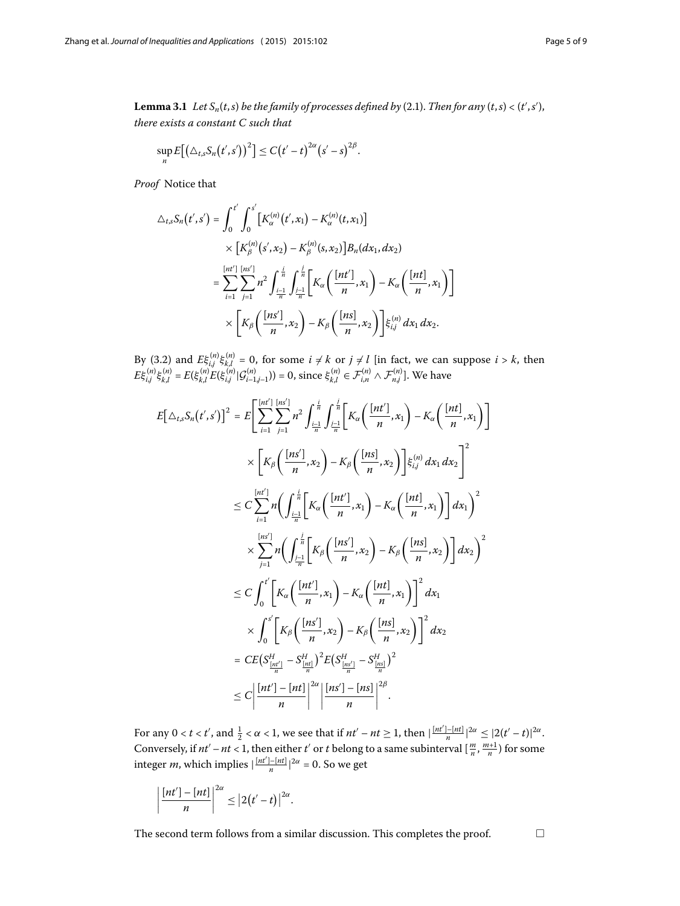**Lemma 3.1** Let  $S_n(t, s)$  be the family of processes defined by (2.1). Then for any  $(t, s) < (t', s')$ , *there exists a constant C such that*

$$
\sup_n E\big[\big(\triangle_{t,s}S_n(t',s')\big)^2\big]\leq C(t'-t)^{2\alpha}(s'-s)^{2\beta}.
$$

*Proof* Notice that

$$
\Delta_{t,s} S_n(t',s') = \int_0^{t'} \int_0^{s'} \left[ K_{\alpha}^{(n)}(t',x_1) - K_{\alpha}^{(n)}(t,x_1) \right] \times \left[ K_{\beta}^{(n)}(s',x_2) - K_{\beta}^{(n)}(s,x_2) \right] B_n(dx_1, dx_2)
$$
  

$$
= \sum_{i=1}^{\lfloor nt' \rfloor} \sum_{j=1}^{\lfloor nt' \rfloor} n^2 \int_{\frac{i-1}{n}}^{\frac{i}{n}} \int_{\frac{j-1}{n}}^{\frac{j}{n}} \left[ K_{\alpha} \left( \frac{\lfloor nt' \rfloor}{n}, x_1 \right) - K_{\alpha} \left( \frac{\lfloor nt \rfloor}{n}, x_1 \right) \right]
$$
  

$$
\times \left[ K_{\beta} \left( \frac{\lfloor ns' \rfloor}{n}, x_2 \right) - K_{\beta} \left( \frac{\lfloor ns \rfloor}{n}, x_2 \right) \right] \xi_{i,j}^{(n)} dx_1 dx_2.
$$

By (3[.](#page-3-3)2) and  $E\xi_{i,j}^{(n)}\xi_{k,l}^{(n)} = 0$ , for some  $i \neq k$  or  $j \neq l$  [in fact, we can suppose  $i > k$ , then  $E\xi_{i,j}^{(n)}\xi_{k,l}^{(n)}=E(\xi_{k,l}^{(n)}E(\xi_{i,j}^{(n)}|\mathcal{G}_{i-1,j-1}^{(n)}))=0,$  since  $\xi_{k,l}^{(n)}\in\mathcal{F}_{i,n}^{(n)}\wedge\mathcal{F}_{n,j}^{(n)}].$  We have

$$
E[\Delta_{t,s}S_n(t',s')]^2 = E\left[\sum_{i=1}^{\lfloor nt' \rfloor} \sum_{j=1}^{\lfloor nt' \rfloor} n^2 \int_{\frac{i-1}{n}}^{\frac{i}{n}} \int_{\frac{j-1}{n}}^{\frac{j}{n}} \left[K_\alpha\left(\frac{[nt']}{n}, x_1\right) - K_\alpha\left(\frac{[nt]}{n}, x_1\right)\right] \right]
$$
  
\n
$$
\times \left[K_\beta\left(\frac{[ns']}{n}, x_2\right) - K_\beta\left(\frac{[ns]}{n}, x_2\right)\right] \xi_{i,j}^{(n)} dx_1 dx_2\right]^2
$$
  
\n
$$
\leq C \sum_{i=1}^{\lfloor nt' \rfloor} n \left( \int_{\frac{i-1}{n}}^{\frac{i}{n}} \left[K_\alpha\left(\frac{[nt']}{n}, x_1\right) - K_\alpha\left(\frac{[nt]}{n}, x_1\right)\right] dx_1\right)^2
$$
  
\n
$$
\times \sum_{j=1}^{\lfloor nt' \rfloor} n \left( \int_{\frac{j-1}{n}}^{\frac{j}{n}} \left[K_\beta\left(\frac{[ns']}{n}, x_2\right) - K_\beta\left(\frac{[ns]}{n}, x_2\right)\right] dx_2\right)^2
$$
  
\n
$$
\leq C \int_0^{t'} \left[K_\alpha\left(\frac{[nt']}{n}, x_1\right) - K_\alpha\left(\frac{[nt]}{n}, x_1\right)\right]^2 dx_1
$$
  
\n
$$
\times \int_0^{s'} \left[K_\beta\left(\frac{[ns']}{n}, x_2\right) - K_\beta\left(\frac{[ns]}{n}, x_2\right)\right]^2 dx_2
$$
  
\n
$$
= CE(S_{\frac{[nt']}{n}}^{\lfloor nt' \rfloor} - S_{\frac{[nt]}{n}}^{\lfloor nt \rfloor})^2 E(S_{\frac{[ns']}{n}}^{\lfloor ns' \rfloor} - S_{\frac{[ns]}{n}}^{\lfloor ns \rfloor})^2
$$
  
\n
$$
\leq C \left|\frac{[nt'] - [nt] \left|\right|^2}{n}\right|^2 \left|\frac{[ns'] - [ns]}{n}\right|^2
$$

For any  $0 < t < t'$ , and  $\frac{1}{2} < \alpha < 1$ , we see that if  $nt' - nt \ge 1$ , then  $|\frac{[nt'] - [nt]}{n}|^{2\alpha} \le |2(t' - t)|^{2\alpha}$ . Conversely, if  $nt' - nt < 1$ , then either *t'* or *t* belong to a same subinterval  $\left[\frac{m}{n}, \frac{m+1}{n}\right)$  for some integer *m*, which implies  $\left| \frac{[nt']-[nt]}{n} \right|^{2\alpha} = 0$ . So we get

$$
\left|\frac{[nt']-[nt]}{n}\right|^{2\alpha}\leq |2(t'-t)|^{2\alpha}.
$$

The second term follows from a similar discussion. This completes the proof.  $\hfill\Box$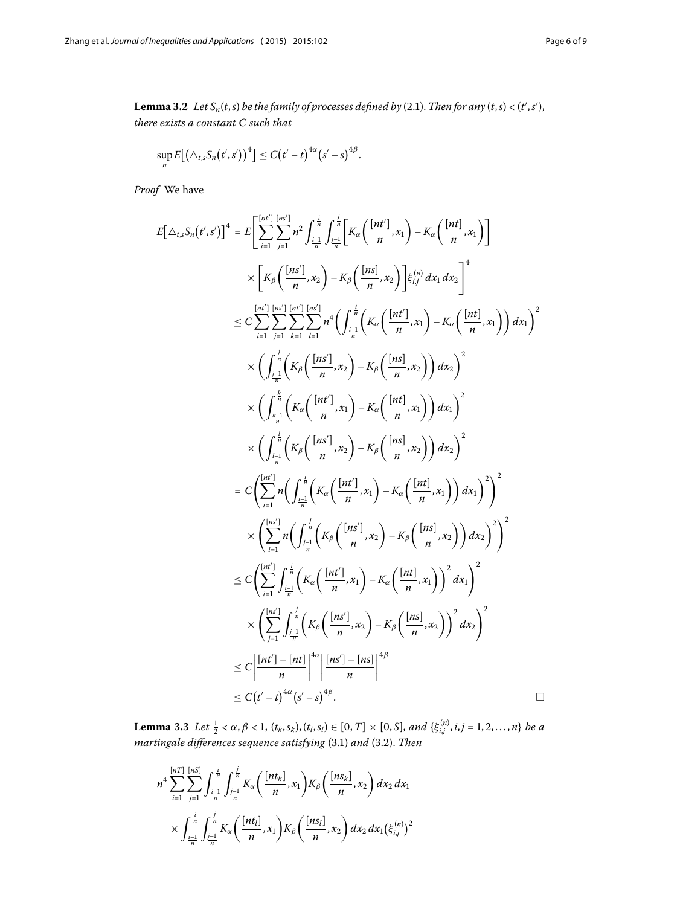<span id="page-5-0"></span>**Lemma 3.2** Let  $S_n(t, s)$  be the family of processes defined by (2.1). Then for any  $(t, s) < (t', s')$ , *there exists a constant C such that*

$$
\sup_n E\big[\big(\triangle_{t,s}S_n(t',s')\big)^4\big]\leq C(t'-t)^{4\alpha}(s'-s)^{4\beta}.
$$

*Proof* We have

$$
E[\Delta_{t,s}S_n(t',s')]^4 = E\Bigg[\sum_{i=1}^{\lfloor nt'\rfloor} \sum_{j=1}^{\lfloor nt'\rfloor} n^2 \int_{\frac{i-1}{n}}^{\frac{i}{n}} \int_{\frac{i-1}{n}}^{\frac{i}{n}} \left[K_\alpha\left(\frac{[nt']}{n}, x_1\right) - K_\alpha\left(\frac{[nt]}{n}, x_1\right)\right] \times \Bigg[\left[K_\beta\left(\frac{[ns']}{n}, x_2\right) - K_\beta\left(\frac{[ns]}{n}, x_2\right)\right] \xi_{i,j}^{(n)} dx_1 dx_2\Bigg]^4
$$
  
\n
$$
\leq C \sum_{i=1}^{\lfloor nt'\rfloor} \sum_{j=1}^{\lfloor nt'\rfloor} \sum_{k=1}^{\lfloor nt'\rfloor} \sum_{i=1}^{\lfloor nt'\rfloor} n^4 \Bigg(\int_{\frac{i-1}{n}}^{\frac{i}{n}} \Big(K_\alpha\left(\frac{[nt']}{n}, x_1\right) - K_\alpha\left(\frac{[nt]}{n}, x_1\right)\Bigg) dx_1\Bigg)^2
$$
  
\n
$$
\times \Bigg(\int_{\frac{i-1}{n}}^{\frac{i}{n}} \Big(K_\beta\left(\frac{[ns']}{n}, x_2\right) - K_\beta\left(\frac{[ns]}{n}, x_2\right)\Bigg) dx_2\Bigg)^2
$$
  
\n
$$
\times \Bigg(\int_{\frac{i-1}{n}}^{\frac{i}{n}} \Big(K_\alpha\left(\frac{[nt']}{n}, x_2\right) - K_\alpha\left(\frac{[ns]}{n}, x_2\right)\Bigg) dx_2\Bigg)^2
$$
  
\n
$$
= C \Bigg(\sum_{i=1}^{\lfloor nt'\rfloor} n \Bigg(\int_{\frac{i-1}{n}}^{\frac{i}{n}} \Big(K_\alpha\left(\frac{[nt']}{n}, x_2\right) - K_\beta\left(\frac{[ns]}{n}, x_2\right)\Bigg) dx_2\Bigg)^2\Bigg]^2
$$
  
\n
$$
\times \Bigg(\sum_{i=1}^{\lfloor nt'\rfloor} n \Bigg(\int_{\frac{i-1}{n}}^{\frac{i}{n}} \Big(K_\alpha\left(\frac{[nt']}{n}, x_2\right) - K_\alpha\left(\frac{[ns]}{n}, x_2\right)\Bigg) dx_2\Big
$$

<span id="page-5-1"></span>**Lemma 3.3** Let  $\frac{1}{2} < \alpha, \beta < 1$ ,  $(t_k, s_k)$ ,  $(t_l, s_l) \in [0, T] \times [0, S]$ , and  $\{\xi_{i,j}^{(n)}, i,j = 1, 2, ..., n\}$  be a *martingale differences sequence satisfying* (3[.](#page-3-3)1) and (3.2). Then

$$
n^4 \sum_{i=1}^{[nT]} \sum_{j=1}^{[nS]} \int_{\frac{i-1}{n}}^{\frac{i}{n}} \int_{\frac{j-1}{n}}^{\frac{j}{n}} K_{\alpha}\left(\frac{[nt_k]}{n}, x_1\right) K_{\beta}\left(\frac{[ns_k]}{n}, x_2\right) dx_2 dx_1
$$
  

$$
\times \int_{\frac{i-1}{n}}^{\frac{i}{n}} \int_{\frac{j-1}{n}}^{\frac{j}{n}} K_{\alpha}\left(\frac{[nt_l]}{n}, x_1\right) K_{\beta}\left(\frac{[ns_l]}{n}, x_2\right) dx_2 dx_1 (\xi_{i,j}^{(n)})^2
$$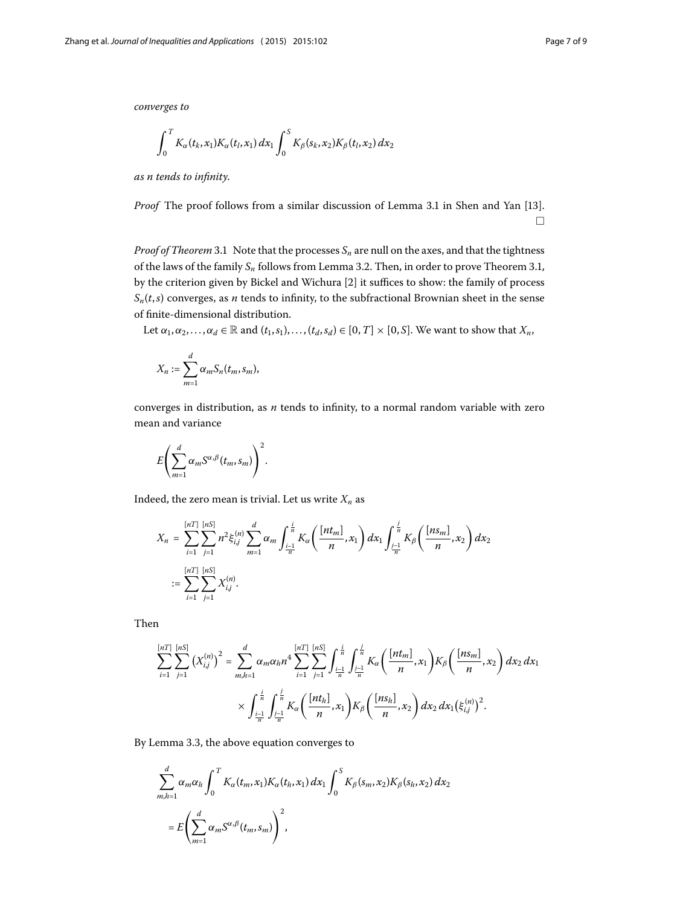*converges to*

$$
\int_0^T K_{\alpha}(t_k,x_1)K_{\alpha}(t_l,x_1) \, dx_1 \int_0^S K_{\beta}(s_k,x_2)K_{\beta}(t_l,x_2) \, dx_2
$$

*as n tends to infinity*.

*Proof* The proof follows from a similar discussion of Lemma 3.1 in Shen and Yan [13[\]](#page-8-7).  $\Box$ 

*Proof of Theorem* 3[.](#page-3-1)1 Note that the processes  $S_n$  are null on the axes, and that the tightness of the laws of the family  $S_n$  follows from Lemma 3[.](#page-5-0)2. Then, in order to prove Theorem 3.1, by the criterion given by Bickel and Wichura [2[\]](#page-8-12) it suffices to show: the family of process  $S_n(t,s)$  converges, as *n* tends to infinity, to the subfractional Brownian sheet in the sense of finite-dimensional distribution.

Let  $\alpha_1, \alpha_2, \ldots, \alpha_d \in \mathbb{R}$  and  $(t_1, s_1), \ldots, (t_d, s_d) \in [0, T] \times [0, S]$ . We want to show that  $X_n$ ,

$$
X_n:=\sum_{m=1}^d \alpha_m S_n(t_m,s_m),
$$

converges in distribution, as *n* tends to infinity, to a normal random variable with zero mean and variance

$$
E\left(\sum_{m=1}^d \alpha_m S^{\alpha,\beta}(t_m,s_m)\right)^2.
$$

Indeed, the zero mean is trivial. Let us write  $X_n$  as

$$
X_n = \sum_{i=1}^{[nT]} \sum_{j=1}^{[nS]} n^2 \xi_{i,j}^{(n)} \sum_{m=1}^d \alpha_m \int_{\frac{i-1}{n}}^{\frac{i}{n}} K_\alpha \left( \frac{[nt_m]}{n}, x_1 \right) dx_1 \int_{\frac{j-1}{n}}^{\frac{j}{n}} K_\beta \left( \frac{[ns_m]}{n}, x_2 \right) dx_2
$$
  
:= 
$$
\sum_{i=1}^{[nT]} \sum_{j=1}^{[nS]} X_{i,j}^{(n)}.
$$

Then

$$
\sum_{i=1}^{[nT]} \sum_{j=1}^{[nS]} (X_{i,j}^{(n)})^2 = \sum_{m,h=1}^d \alpha_m \alpha_h n^4 \sum_{i=1}^{[nT]} \sum_{j=1}^{[nS]} \int_{\frac{i-1}{n}}^{\frac{i}{n}} \int_{\frac{j-1}{n}}^{\frac{j}{n}} K_\alpha \left( \frac{[nt_m]}{n}, x_1 \right) K_\beta \left( \frac{[ns_m]}{n}, x_2 \right) dx_2 dx_1
$$

$$
\times \int_{\frac{i-1}{n}}^{\frac{i}{n}} \int_{\frac{j-1}{n}}^{\frac{j}{n}} K_\alpha \left( \frac{[nt_h]}{n}, x_1 \right) K_\beta \left( \frac{[ns_h]}{n}, x_2 \right) dx_2 dx_1 \left( \xi_{i,j}^{(n)} \right)^2.
$$

By Lemma 3.3, the above equation converges to

$$
\sum_{m,h=1}^{d} \alpha_m \alpha_h \int_0^T K_{\alpha}(t_m, x_1) K_{\alpha}(t_h, x_1) dx_1 \int_0^S K_{\beta}(s_m, x_2) K_{\beta}(s_h, x_2) dx_2
$$
  
= 
$$
E\left(\sum_{m=1}^{d} \alpha_m S^{\alpha, \beta}(t_m, s_m)\right)^2,
$$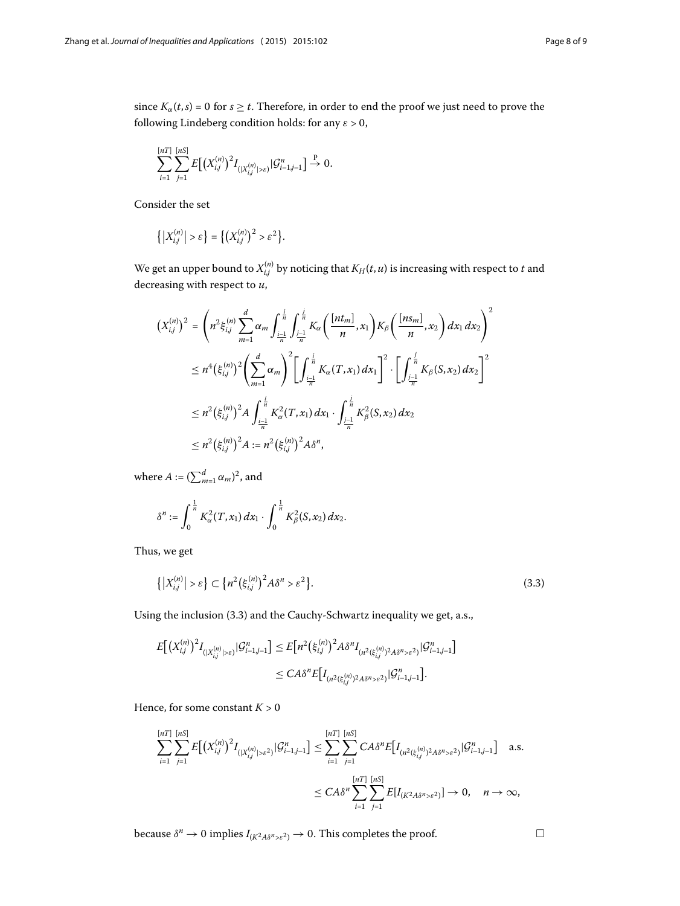since  $K_\alpha(t,s) = 0$  for  $s \ge t$ . Therefore, in order to end the proof we just need to prove the following Lindeberg condition holds: for any  $\varepsilon > 0$ ,

$$
\sum_{i=1}^{[nT]}\sum_{j=1}^{[nS]}E\big[\big(X_{i,j}^{(n)}\big)^2I_{(|X_{i,j}^{(n)}|>\varepsilon)}|\mathcal{G}_{i-1,j-1}^n\big]\overset{\text{P}}{\rightarrow} 0.
$$

Consider the set

$$
\left\{ \left| X_{i,j}^{(n)} \right| > \varepsilon \right\} = \left\{ \left( X_{i,j}^{(n)} \right)^2 > \varepsilon^2 \right\}.
$$

We get an upper bound to  $X_{i,j}^{(n)}$  by noticing that  $K_H(t,u)$  is increasing with respect to  $t$  and decreasing with respect to *u*,

$$
\begin{split}\n\left(X_{i,j}^{(n)}\right)^{2} &= \left(n^{2}\xi_{i,j}^{(n)}\sum_{m=1}^{d}\alpha_{m}\int_{\frac{i-1}{n}}^{\frac{i}{n}}\int_{\frac{j-1}{n}}^{\frac{j}{n}}K_{\alpha}\left(\frac{[nt_{m}]}{n},x_{1}\right)K_{\beta}\left(\frac{[ns_{m}]}{n},x_{2}\right)dx_{1}dx_{2}\right)^{2} \\
&\leq n^{4}\left(\xi_{i,j}^{(n)}\right)^{2}\left(\sum_{m=1}^{d}\alpha_{m}\right)^{2}\left[\int_{\frac{i-1}{n}}^{\frac{i}{n}}K_{\alpha}(T,x_{1})dx_{1}\right]^{2}\cdot\left[\int_{\frac{i-1}{n}}^{\frac{i}{n}}K_{\beta}(S,x_{2})dx_{2}\right]^{2} \\
&\leq n^{2}\left(\xi_{i,j}^{(n)}\right)^{2}A\int_{\frac{i-1}{n}}^{\frac{i}{n}}K_{\alpha}^{2}(T,x_{1})dx_{1}\cdot\int_{\frac{j-1}{n}}^{\frac{j}{n}}K_{\beta}^{2}(S,x_{2})dx_{2} \\
&\leq n^{2}\left(\xi_{i,j}^{(n)}\right)^{2}A := n^{2}\left(\xi_{i,j}^{(n)}\right)^{2}A\delta^{n},\n\end{split}
$$

where  $A := (\sum_{m=1}^d \alpha_m)^2$ , and

<span id="page-7-0"></span>
$$
\delta^{n}:=\int_{0}^{\frac{1}{n}}K_{\alpha}^{2}(T,x_{1})dx_{1}\cdot\int_{0}^{\frac{1}{n}}K_{\beta}^{2}(S,x_{2})dx_{2}.
$$

Thus, we get

$$
\left\{ \left| X_{i,j}^{(n)} \right| > \varepsilon \right\} \subset \left\{ n^2 \left( \xi_{i,j}^{(n)} \right)^2 A \delta^n > \varepsilon^2 \right\}.
$$
\n
$$
(3.3)
$$

Using the inclusion (3.3) and the Cauchy-Schwartz inequality we get, a.s.,

$$
E[(X_{i,j}^{(n)})^{2}I_{(|X_{i,j}^{(n)}|>\varepsilon)}|\mathcal{G}_{i-1,j-1}^{n}] \leq E[n^{2}(\xi_{i,j}^{(n)})^{2}A\delta^{n}I_{(n^{2}(\xi_{i,j}^{(n)})^{2}A\delta^{n}>\varepsilon^{2})}|\mathcal{G}_{i-1,j-1}^{n}]
$$
  

$$
\leq CA\delta^{n}E[I_{(n^{2}(\xi_{i,j}^{(n)})^{2}A\delta^{n}>\varepsilon^{2})}|\mathcal{G}_{i-1,j-1}^{n}]
$$

Hence, for some constant  $K > 0$ 

$$
\sum_{i=1}^{[nT]} \sum_{j=1}^{[nS]} E\big[ \big(X_{i,j}^{(n)}\big)^2 I_{\{ |X_{i,j}^{(n)}| > \varepsilon^2 \}} | \mathcal{G}_{i-1,j-1}^n \big] \le \sum_{i=1}^{[nT]} \sum_{j=1}^{[nS]} C A \delta^n E\big[ I_{\{ n^2(\xi_{i,j}^{(n)})^2 A \delta^n > \varepsilon^2 \}} | \mathcal{G}_{i-1,j-1}^n \big] \text{ a.s.}
$$
  

$$
\le C A \delta^n \sum_{i=1}^{[nT]} \sum_{j=1}^{[nS]} E[I_{(K^2 A \delta^n > \varepsilon^2)}] \to 0, \quad n \to \infty,
$$

because  $\delta^n \to 0$  implies  $I_{(K^2A\delta^n>\epsilon^2)} \to 0$ . This completes the proof.  $\Box$